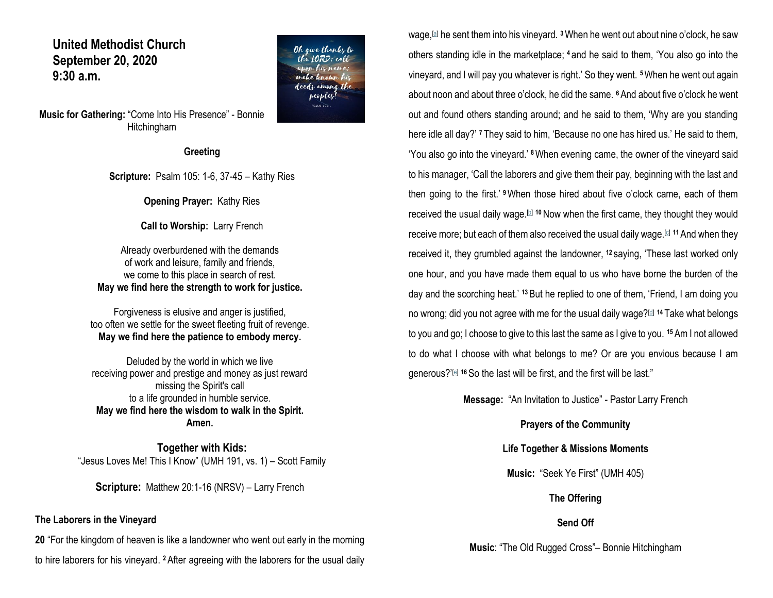### **United Methodist Church September 20, 2020 9:30 a.m.**

**Music for Gathering:** "Come Into His Presence" - Bonnie Hitchingham

**Greeting**

**Scripture:** Psalm 105: 1-6, 37-45 – Kathy Ries

**Opening Prayer:** Kathy Ries

**Call to Worship:** Larry French

Already overburdened with the demands of work and leisure, family and friends, we come to this place in search of rest. **May we find here the strength to work for justice.**

Forgiveness is elusive and anger is justified, too often we settle for the sweet fleeting fruit of revenge. **May we find here the patience to embody mercy.**

Deluded by the world in which we live receiving power and prestige and money as just reward missing the Spirit's call to a life grounded in humble service. **May we find here the wisdom to walk in the Spirit. Amen.**

**Together with Kids:** "Jesus Loves Me! This I Know" (UMH 191, vs. 1) – Scott Family

**Scripture:** Matthew 20:1-16 (NRSV) – Larry French

#### **The Laborers in the Vineyard**

**20** "For the kingdom of heaven is like a landowner who went out early in the morning to hire laborers for his vineyard. **<sup>2</sup>**After agreeing with the laborers for the usual daily

wage,[\[a\]](https://www.biblegateway.com/passage/?search=Matthew+20%3A1-16&version=NRSV#fen-NRSV-23793a) he sent them into his vineyard. **<sup>3</sup>**When he went out about nine o'clock, he saw others standing idle in the marketplace; **<sup>4</sup>** and he said to them, 'You also go into the vineyard, and I will pay you whatever is right.' So they went. **<sup>5</sup>**When he went out again about noon and about three o'clock, he did the same. **<sup>6</sup>**And about five o'clock he went out and found others standing around; and he said to them, 'Why are you standing here idle all day?' **<sup>7</sup>** They said to him, 'Because no one has hired us.' He said to them, 'You also go into the vineyard.' **<sup>8</sup>**When evening came, the owner of the vineyard said to his manager, 'Call the laborers and give them their pay, beginning with the last and then going to the first.' **<sup>9</sup>**When those hired about five o'clock came, each of them received the usual daily wage.<sup>[\[b\]](https://www.biblegateway.com/passage/?search=Matthew+20%3A1-16&version=NRSV#fen-NRSV-23800b)</sup> <sup>10</sup> Now when the first came, they thought they would receive more; but each of them also received the usual daily wage.[\[c\]](https://www.biblegateway.com/passage/?search=Matthew+20%3A1-16&version=NRSV#fen-NRSV-23801c) **<sup>11</sup>**And when they received it, they grumbled against the landowner, **<sup>12</sup>** saying, 'These last worked only one hour, and you have made them equal to us who have borne the burden of the day and the scorching heat.' **<sup>13</sup>**But he replied to one of them, 'Friend, I am doing you no wrong; did you not agree with me for the usual daily wage?[\[d\]](https://www.biblegateway.com/passage/?search=Matthew+20%3A1-16&version=NRSV#fen-NRSV-23804d) **<sup>14</sup>** Take what belongs to you and go; I choose to give to this last the same as I give to you. **<sup>15</sup>**Am I not allowed to do what I choose with what belongs to me? Or are you envious because I am generous?'<sup>[\[e\]](https://www.biblegateway.com/passage/?search=Matthew+20%3A1-16&version=NRSV#fen-NRSV-23806e)</sup> <sup>16</sup> So the last will be first, and the first will be last."

**Message:** "An Invitation to Justice" - Pastor Larry French

**Prayers of the Community**

**Life Together & Missions Moments**

**Music:** "Seek Ye First" (UMH 405)

**The Offering**

**Send Off**

**Music**: "The Old Rugged Cross"– Bonnie Hitchingham